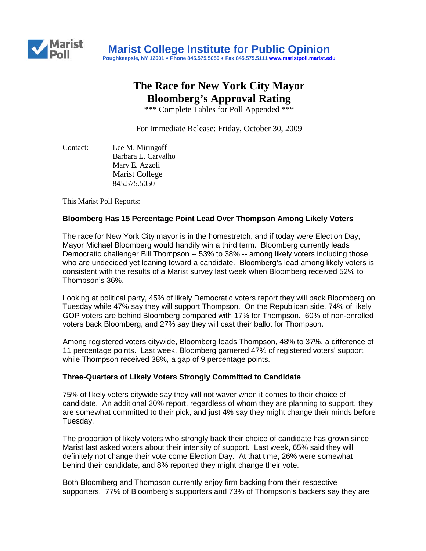

## **The Race for New York City Mayor Bloomberg's Approval Rating**

\*\*\* Complete Tables for Poll Appended \*\*\*

For Immediate Release: Friday, October 30, 2009

Contact: Lee M. Miringoff Barbara L. Carvalho Mary E. Azzoli Marist College 845.575.5050

This Marist Poll Reports:

#### **Bloomberg Has 15 Percentage Point Lead Over Thompson Among Likely Voters**

The race for New York City mayor is in the homestretch, and if today were Election Day, Mayor Michael Bloomberg would handily win a third term. Bloomberg currently leads Democratic challenger Bill Thompson -- 53% to 38% -- among likely voters including those who are undecided yet leaning toward a candidate. Bloomberg's lead among likely voters is consistent with the results of a Marist survey last week when Bloomberg received 52% to Thompson's 36%.

Looking at political party, 45% of likely Democratic voters report they will back Bloomberg on Tuesday while 47% say they will support Thompson. On the Republican side, 74% of likely GOP voters are behind Bloomberg compared with 17% for Thompson. 60% of non-enrolled voters back Bloomberg, and 27% say they will cast their ballot for Thompson.

Among registered voters citywide, Bloomberg leads Thompson, 48% to 37%, a difference of 11 percentage points. Last week, Bloomberg garnered 47% of registered voters' support while Thompson received 38%, a gap of 9 percentage points.

#### **Three-Quarters of Likely Voters Strongly Committed to Candidate**

75% of likely voters citywide say they will not waver when it comes to their choice of candidate. An additional 20% report, regardless of whom they are planning to support, they are somewhat committed to their pick, and just 4% say they might change their minds before Tuesday.

The proportion of likely voters who strongly back their choice of candidate has grown since Marist last asked voters about their intensity of support. Last week, 65% said they will definitely not change their vote come Election Day. At that time, 26% were somewhat behind their candidate, and 8% reported they might change their vote.

Both Bloomberg and Thompson currently enjoy firm backing from their respective supporters. 77% of Bloomberg's supporters and 73% of Thompson's backers say they are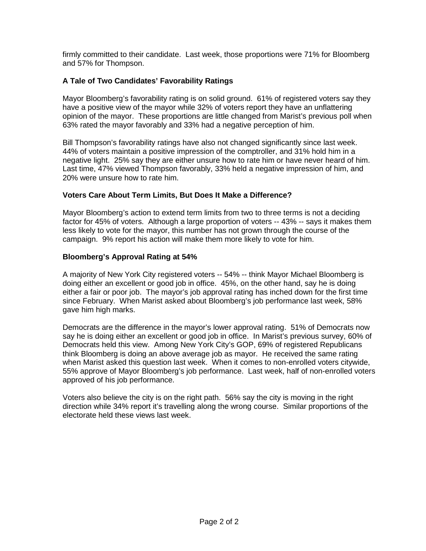firmly committed to their candidate. Last week, those proportions were 71% for Bloomberg and 57% for Thompson.

### **A Tale of Two Candidates' Favorability Ratings**

Mayor Bloomberg's favorability rating is on solid ground. 61% of registered voters say they have a positive view of the mayor while 32% of voters report they have an unflattering opinion of the mayor. These proportions are little changed from Marist's previous poll when 63% rated the mayor favorably and 33% had a negative perception of him.

Bill Thompson's favorability ratings have also not changed significantly since last week. 44% of voters maintain a positive impression of the comptroller, and 31% hold him in a negative light. 25% say they are either unsure how to rate him or have never heard of him. Last time, 47% viewed Thompson favorably, 33% held a negative impression of him, and 20% were unsure how to rate him.

#### **Voters Care About Term Limits, But Does It Make a Difference?**

Mayor Bloomberg's action to extend term limits from two to three terms is not a deciding factor for 45% of voters. Although a large proportion of voters -- 43% -- says it makes them less likely to vote for the mayor, this number has not grown through the course of the campaign. 9% report his action will make them more likely to vote for him.

#### **Bloomberg's Approval Rating at 54%**

A majority of New York City registered voters -- 54% -- think Mayor Michael Bloomberg is doing either an excellent or good job in office. 45%, on the other hand, say he is doing either a fair or poor job. The mayor's job approval rating has inched down for the first time since February. When Marist asked about Bloomberg's job performance last week, 58% gave him high marks.

Democrats are the difference in the mayor's lower approval rating. 51% of Democrats now say he is doing either an excellent or good job in office. In Marist's previous survey, 60% of Democrats held this view. Among New York City's GOP, 69% of registered Republicans think Bloomberg is doing an above average job as mayor. He received the same rating when Marist asked this question last week. When it comes to non-enrolled voters citywide, 55% approve of Mayor Bloomberg's job performance. Last week, half of non-enrolled voters approved of his job performance.

Voters also believe the city is on the right path. 56% say the city is moving in the right direction while 34% report it's travelling along the wrong course. Similar proportions of the electorate held these views last week.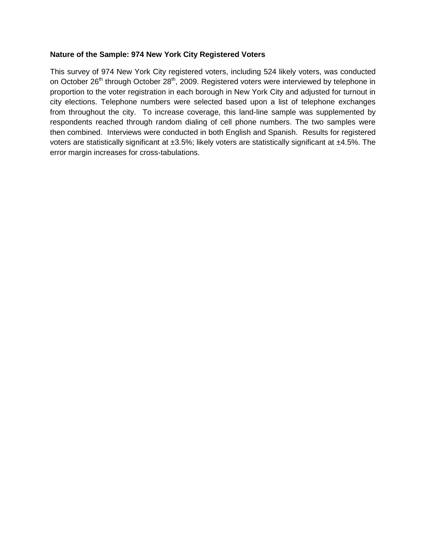#### **Nature of the Sample: 974 New York City Registered Voters**

This survey of 974 New York City registered voters, including 524 likely voters, was conducted on October 26<sup>th</sup> through October 28<sup>th</sup>, 2009. Registered voters were interviewed by telephone in proportion to the voter registration in each borough in New York City and adjusted for turnout in city elections. Telephone numbers were selected based upon a list of telephone exchanges from throughout the city. To increase coverage, this land-line sample was supplemented by respondents reached through random dialing of cell phone numbers. The two samples were then combined. Interviews were conducted in both English and Spanish. Results for registered voters are statistically significant at ±3.5%; likely voters are statistically significant at ±4.5%. The error margin increases for cross-tabulations.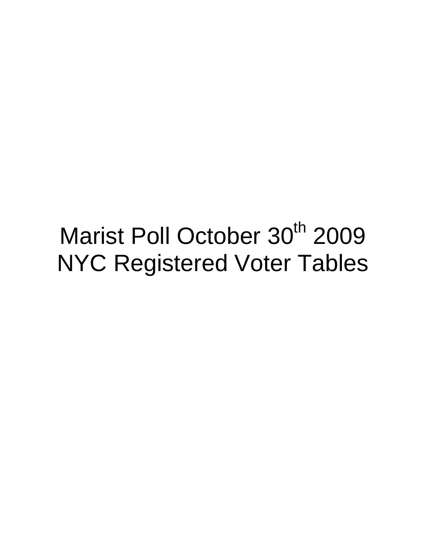# Marist Poll October 30<sup>th</sup> 2009 NYC Registered Voter Tables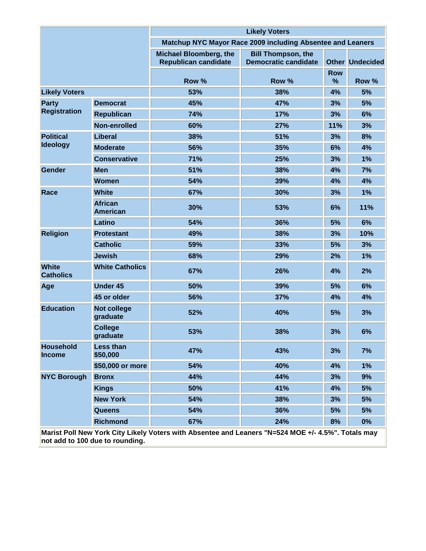|                                   |                                   | <b>Likely Voters</b>                                         |                                                          |                 |                        |
|-----------------------------------|-----------------------------------|--------------------------------------------------------------|----------------------------------------------------------|-----------------|------------------------|
|                                   |                                   | Matchup NYC Mayor Race 2009 including Absentee and Leaners   |                                                          |                 |                        |
|                                   |                                   | <b>Michael Bloomberg, the</b><br><b>Republican candidate</b> | <b>Bill Thompson, the</b><br><b>Democratic candidate</b> |                 | <b>Other Undecided</b> |
|                                   |                                   | Row %                                                        | Row %                                                    | <b>Row</b><br>% | Row %                  |
| <b>Likely Voters</b>              |                                   | 53%                                                          | 38%                                                      | 4%              | 5%                     |
| <b>Party</b>                      | <b>Democrat</b>                   | 45%                                                          | 47%                                                      | 3%              | 5%                     |
| <b>Registration</b>               | <b>Republican</b>                 | 74%                                                          | 17%                                                      | 3%              | 6%                     |
|                                   | Non-enrolled                      | 60%                                                          | 27%                                                      | 11%             | 3%                     |
| <b>Political</b>                  | <b>Liberal</b>                    | 38%                                                          | 51%                                                      | 3%              | 8%                     |
| <b>Ideology</b>                   | <b>Moderate</b>                   | 56%                                                          | 35%                                                      | 6%              | 4%                     |
|                                   | <b>Conservative</b>               | 71%                                                          | 25%                                                      | 3%              | 1%                     |
| Gender                            | <b>Men</b>                        | 51%                                                          | 38%                                                      | 4%              | 7%                     |
|                                   | <b>Women</b>                      | 54%                                                          | 39%                                                      | 4%              | 4%                     |
| Race                              | <b>White</b>                      | 67%                                                          | 30%                                                      | 3%              | 1%                     |
|                                   | <b>African</b><br><b>American</b> | 30%                                                          | 53%                                                      | 6%              | 11%                    |
|                                   | Latino                            | 54%                                                          | 36%                                                      | 5%              | 6%                     |
| <b>Religion</b>                   | <b>Protestant</b>                 | 49%                                                          | 38%                                                      | 3%              | 10%                    |
|                                   | <b>Catholic</b>                   | 59%                                                          | 33%                                                      | 5%              | 3%                     |
|                                   | <b>Jewish</b>                     | 68%                                                          | 29%                                                      | 2%              | 1%                     |
| <b>White</b><br><b>Catholics</b>  | <b>White Catholics</b>            | 67%                                                          | 26%                                                      | 4%              | 2%                     |
| Age                               | <b>Under 45</b>                   | 50%                                                          | 39%                                                      | 5%              | 6%                     |
|                                   | 45 or older                       | 56%                                                          | 37%                                                      | 4%              | 4%                     |
| <b>Education</b>                  | <b>Not college</b><br>graduate    | 52%                                                          | 40%                                                      | 5%              | 3%                     |
|                                   | <b>College</b><br>graduate        | 53%                                                          | 38%                                                      | 3%              | 6%                     |
| <b>Household</b><br><b>Income</b> | <b>Less than</b><br>\$50,000      | 47%                                                          | 43%                                                      | 3%              | 7%                     |
|                                   | \$50,000 or more                  | 54%                                                          | 40%                                                      | 4%              | 1%                     |
| <b>NYC Borough</b>                | <b>Bronx</b>                      | 44%                                                          | 44%                                                      | 3%              | 9%                     |
|                                   | <b>Kings</b>                      | 50%                                                          | 41%                                                      | 4%              | 5%                     |
|                                   | <b>New York</b>                   | 54%                                                          | 38%                                                      | 3%              | 5%                     |
|                                   | <b>Queens</b>                     | 54%                                                          | 36%                                                      | 5%              | 5%                     |
|                                   | <b>Richmond</b>                   | 67%                                                          | 24%                                                      | 8%              | 0%                     |

**Marist Poll New York City Likely Voters with Absentee and Leaners "N=524 MOE +/- 4.5%". Totals may not add to 100 due to rounding.**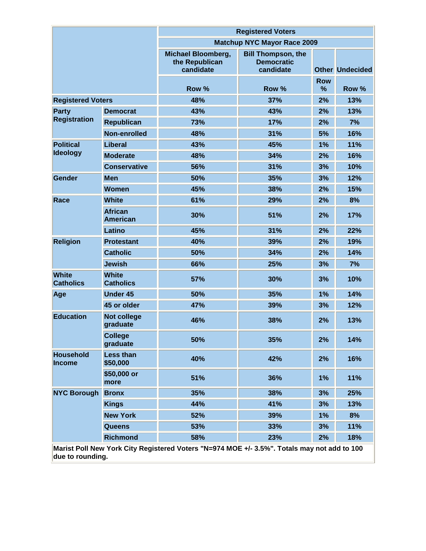|                                                                                             |                                   | <b>Registered Voters</b>                                 |                                                             |                 |                        |  |
|---------------------------------------------------------------------------------------------|-----------------------------------|----------------------------------------------------------|-------------------------------------------------------------|-----------------|------------------------|--|
|                                                                                             |                                   | <b>Matchup NYC Mayor Race 2009</b>                       |                                                             |                 |                        |  |
|                                                                                             |                                   | <b>Michael Bloomberg,</b><br>the Republican<br>candidate | <b>Bill Thompson, the</b><br><b>Democratic</b><br>candidate |                 | <b>Other Undecided</b> |  |
|                                                                                             |                                   | Row %                                                    | Row %                                                       | <b>Row</b><br>% | Row %                  |  |
| <b>Registered Voters</b>                                                                    |                                   | 48%                                                      | 37%                                                         | 2%              | 13%                    |  |
| <b>Party</b>                                                                                | <b>Democrat</b>                   | 43%                                                      | 43%                                                         | 2%              | 13%                    |  |
| <b>Registration</b>                                                                         | <b>Republican</b>                 | 73%                                                      | 17%                                                         | 2%              | 7%                     |  |
|                                                                                             | Non-enrolled                      | 48%                                                      | 31%                                                         | 5%              | 16%                    |  |
| <b>Political</b>                                                                            | Liberal                           | 43%                                                      | 45%                                                         | 1%              | 11%                    |  |
| <b>Ideology</b>                                                                             | <b>Moderate</b>                   | 48%                                                      | 34%                                                         | 2%              | 16%                    |  |
|                                                                                             | <b>Conservative</b>               | 56%                                                      | 31%                                                         | 3%              | 10%                    |  |
| Gender                                                                                      | <b>Men</b>                        | 50%                                                      | 35%                                                         | 3%              | 12%                    |  |
|                                                                                             | <b>Women</b>                      | 45%                                                      | 38%                                                         | 2%              | 15%                    |  |
| Race                                                                                        | <b>White</b>                      | 61%                                                      | 29%                                                         | 2%              | 8%                     |  |
|                                                                                             | <b>African</b><br><b>American</b> | 30%                                                      | 51%                                                         | 2%              | 17%                    |  |
|                                                                                             | Latino                            | 45%                                                      | 31%                                                         | 2%              | 22%                    |  |
| <b>Religion</b>                                                                             | <b>Protestant</b>                 | 40%                                                      | 39%                                                         | 2%              | 19%                    |  |
|                                                                                             | <b>Catholic</b>                   | 50%                                                      | 34%                                                         | 2%              | 14%                    |  |
|                                                                                             | <b>Jewish</b>                     | 66%                                                      | 25%                                                         | 3%              | 7%                     |  |
| <b>White</b><br><b>Catholics</b>                                                            | <b>White</b><br><b>Catholics</b>  | 57%                                                      | 30%                                                         | 3%              | 10%                    |  |
| Age                                                                                         | <b>Under 45</b>                   | 50%                                                      | 35%                                                         | 1%              | 14%                    |  |
|                                                                                             | 45 or older                       | 47%                                                      | 39%                                                         | 3%              | 12%                    |  |
| <b>Education</b>                                                                            | <b>Not college</b><br>graduate    | 46%                                                      | 38%                                                         | 2%              | 13%                    |  |
|                                                                                             | <b>College</b><br>graduate        | 50%                                                      | 35%                                                         | 2%              | 14%                    |  |
| <b>Household</b><br><b>Income</b>                                                           | <b>Less than</b><br>\$50,000      | 40%                                                      | 42%                                                         | 2%              | 16%                    |  |
|                                                                                             | \$50,000 or<br>more               | 51%                                                      | 36%                                                         | 1%              | 11%                    |  |
| <b>NYC Borough</b>                                                                          | <b>Bronx</b>                      | 35%                                                      | 38%                                                         | 3%              | 25%                    |  |
|                                                                                             | <b>Kings</b>                      | 44%                                                      | 41%                                                         | 3%              | 13%                    |  |
|                                                                                             | <b>New York</b>                   | 52%                                                      | 39%                                                         | 1%              | 8%                     |  |
|                                                                                             | <b>Queens</b>                     | 53%                                                      | 33%                                                         | 3%              | 11%                    |  |
|                                                                                             | <b>Richmond</b>                   | 58%                                                      | 23%                                                         | 2%              | 18%                    |  |
| Marist Poll New York City Registered Voters "N=974 MOE +/- 3.5%". Totals may not add to 100 |                                   |                                                          |                                                             |                 |                        |  |

**due to rounding.**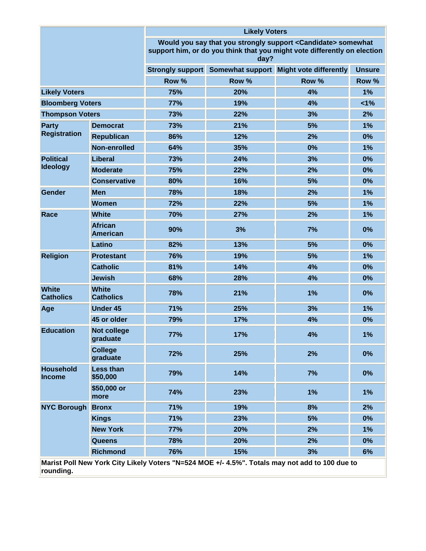|                                  |                                   | <b>Likely Voters</b>                                                                                                                              |       |                                                                                                                                                                                                                                                                                                                                                                                                                                                           |               |  |
|----------------------------------|-----------------------------------|---------------------------------------------------------------------------------------------------------------------------------------------------|-------|-----------------------------------------------------------------------------------------------------------------------------------------------------------------------------------------------------------------------------------------------------------------------------------------------------------------------------------------------------------------------------------------------------------------------------------------------------------|---------------|--|
|                                  |                                   | Would you say that you strongly support < Candidate> somewhat<br>support him, or do you think that you might vote differently on election<br>day? |       |                                                                                                                                                                                                                                                                                                                                                                                                                                                           |               |  |
|                                  |                                   | Strongly support                                                                                                                                  |       |                                                                                                                                                                                                                                                                                                                                                                                                                                                           | <b>Unsure</b> |  |
|                                  |                                   | Row %                                                                                                                                             | Row % | Row %                                                                                                                                                                                                                                                                                                                                                                                                                                                     | Row %         |  |
| <b>Likely Voters</b>             |                                   | 75%                                                                                                                                               | 20%   | 4%                                                                                                                                                                                                                                                                                                                                                                                                                                                        | 1%            |  |
| <b>Bloomberg Voters</b>          |                                   | 77%                                                                                                                                               | 19%   | 4%                                                                                                                                                                                                                                                                                                                                                                                                                                                        | 1%            |  |
| <b>Thompson Voters</b>           |                                   | 73%                                                                                                                                               | 22%   | 3%                                                                                                                                                                                                                                                                                                                                                                                                                                                        | 2%            |  |
| Party                            | <b>Democrat</b>                   | 73%                                                                                                                                               | 21%   | 5%                                                                                                                                                                                                                                                                                                                                                                                                                                                        | 1%            |  |
| <b>Registration</b>              | <b>Republican</b>                 | 86%                                                                                                                                               | 12%   | 2%                                                                                                                                                                                                                                                                                                                                                                                                                                                        | 0%            |  |
|                                  | Non-enrolled                      | 64%                                                                                                                                               | 35%   | Somewhat support Might vote differently<br>0%<br>24%<br>3%<br>22%<br>2%<br>16%<br>5%<br>18%<br>2%<br>22%<br>5%<br>27%<br>2%<br>3%<br>7%<br>5%<br>13%<br>19%<br>5%<br>4%<br>14%<br>28%<br>4%<br>21%<br>1%<br>25%<br>3%<br>17%<br>4%<br>17%<br>4%<br>2%<br>25%<br>14%<br>7%<br>1%<br>23%<br>19%<br>8%<br>23%<br>5%<br>2%<br>20%<br>20%<br>2%<br>15%<br>3%<br>Marist Poll New York City Likely Voters "N=524 MOE +/- 4.5%". Totals may not add to 100 due to | 1%            |  |
| <b>Political</b>                 | <b>Liberal</b>                    | 73%                                                                                                                                               |       |                                                                                                                                                                                                                                                                                                                                                                                                                                                           | 0%            |  |
| <b>Ideology</b>                  | <b>Moderate</b>                   | 75%                                                                                                                                               |       |                                                                                                                                                                                                                                                                                                                                                                                                                                                           | 0%            |  |
|                                  | <b>Conservative</b>               | 80%                                                                                                                                               |       | 0%                                                                                                                                                                                                                                                                                                                                                                                                                                                        |               |  |
| Gender                           | <b>Men</b>                        | 78%                                                                                                                                               |       |                                                                                                                                                                                                                                                                                                                                                                                                                                                           | 1%            |  |
|                                  | <b>Women</b>                      | 72%                                                                                                                                               |       |                                                                                                                                                                                                                                                                                                                                                                                                                                                           | 1%            |  |
| Race                             | <b>White</b>                      | 70%                                                                                                                                               |       |                                                                                                                                                                                                                                                                                                                                                                                                                                                           | 1%            |  |
|                                  | <b>African</b><br><b>American</b> | 90%                                                                                                                                               |       |                                                                                                                                                                                                                                                                                                                                                                                                                                                           | 0%            |  |
|                                  | Latino                            | 82%                                                                                                                                               |       |                                                                                                                                                                                                                                                                                                                                                                                                                                                           | 0%            |  |
| <b>Religion</b>                  | <b>Protestant</b>                 | 76%                                                                                                                                               |       |                                                                                                                                                                                                                                                                                                                                                                                                                                                           | 1%            |  |
|                                  | <b>Catholic</b>                   | 81%                                                                                                                                               |       |                                                                                                                                                                                                                                                                                                                                                                                                                                                           | 0%            |  |
|                                  | <b>Jewish</b>                     | 68%                                                                                                                                               |       |                                                                                                                                                                                                                                                                                                                                                                                                                                                           | 0%            |  |
| <b>White</b><br><b>Catholics</b> | <b>White</b><br><b>Catholics</b>  | 78%                                                                                                                                               |       |                                                                                                                                                                                                                                                                                                                                                                                                                                                           | 0%            |  |
| Age                              | <b>Under 45</b>                   | 71%                                                                                                                                               |       |                                                                                                                                                                                                                                                                                                                                                                                                                                                           | 1%            |  |
|                                  | 45 or older                       | 79%                                                                                                                                               |       |                                                                                                                                                                                                                                                                                                                                                                                                                                                           | 0%            |  |
| <b>Education</b>                 | <b>Not college</b><br>graduate    | 77%                                                                                                                                               |       |                                                                                                                                                                                                                                                                                                                                                                                                                                                           | 1%            |  |
|                                  | <b>College</b><br>graduate        | 72%                                                                                                                                               |       |                                                                                                                                                                                                                                                                                                                                                                                                                                                           | 0%            |  |
| <b>Household</b><br>Income       | <b>Less than</b><br>\$50,000      | 79%                                                                                                                                               |       |                                                                                                                                                                                                                                                                                                                                                                                                                                                           | 0%            |  |
|                                  | \$50,000 or<br>more               | 74%                                                                                                                                               |       |                                                                                                                                                                                                                                                                                                                                                                                                                                                           | 1%            |  |
| <b>NYC Borough Bronx</b>         |                                   | 71%                                                                                                                                               |       |                                                                                                                                                                                                                                                                                                                                                                                                                                                           | 2%            |  |
|                                  | <b>Kings</b>                      | 71%                                                                                                                                               |       |                                                                                                                                                                                                                                                                                                                                                                                                                                                           | 0%            |  |
|                                  | <b>New York</b>                   | <b>77%</b>                                                                                                                                        |       |                                                                                                                                                                                                                                                                                                                                                                                                                                                           | 1%            |  |
|                                  | <b>Queens</b>                     | 78%                                                                                                                                               |       |                                                                                                                                                                                                                                                                                                                                                                                                                                                           | 0%            |  |
|                                  | <b>Richmond</b>                   | 76%                                                                                                                                               |       |                                                                                                                                                                                                                                                                                                                                                                                                                                                           | 6%            |  |
| rounding.                        |                                   |                                                                                                                                                   |       |                                                                                                                                                                                                                                                                                                                                                                                                                                                           |               |  |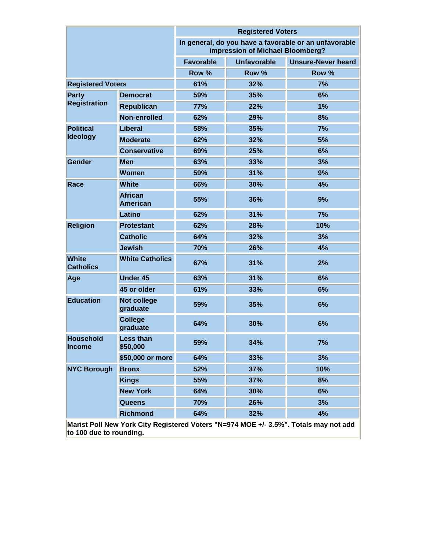|                                                                                                             |                                   | <b>Registered Voters</b>                                                                  |                    |                           |  |
|-------------------------------------------------------------------------------------------------------------|-----------------------------------|-------------------------------------------------------------------------------------------|--------------------|---------------------------|--|
|                                                                                                             |                                   | In general, do you have a favorable or an unfavorable<br>impression of Michael Bloomberg? |                    |                           |  |
|                                                                                                             |                                   | <b>Favorable</b>                                                                          | <b>Unfavorable</b> | <b>Unsure-Never heard</b> |  |
|                                                                                                             |                                   | Row %                                                                                     | Row %              | Row %                     |  |
| <b>Registered Voters</b>                                                                                    |                                   | 61%                                                                                       | 32%                | 7%                        |  |
| Party                                                                                                       | <b>Democrat</b>                   | 59%                                                                                       | 35%                | 6%                        |  |
| <b>Registration</b>                                                                                         | <b>Republican</b>                 | <b>77%</b>                                                                                | 22%                | 1%                        |  |
|                                                                                                             | Non-enrolled                      | 62%                                                                                       | 29%                | 8%                        |  |
| <b>Political</b>                                                                                            | Liberal                           | 58%                                                                                       | 35%                | 7%                        |  |
| <b>Ideology</b>                                                                                             | <b>Moderate</b>                   | 62%                                                                                       | 32%                | 5%                        |  |
|                                                                                                             | <b>Conservative</b>               | 69%                                                                                       | 25%                | 6%                        |  |
| Gender                                                                                                      | <b>Men</b>                        | 63%                                                                                       | 33%                | 3%                        |  |
|                                                                                                             | <b>Women</b>                      | 59%                                                                                       | 31%                | 9%                        |  |
| Race                                                                                                        | <b>White</b>                      | 66%                                                                                       | 30%                | 4%                        |  |
|                                                                                                             | <b>African</b><br><b>American</b> | 55%                                                                                       | 36%                | 9%                        |  |
|                                                                                                             | Latino                            | 62%                                                                                       | 31%                | 7%                        |  |
| <b>Religion</b>                                                                                             | <b>Protestant</b>                 | 62%                                                                                       | 28%                | 10%                       |  |
|                                                                                                             | <b>Catholic</b>                   | 64%                                                                                       | 32%                | 3%                        |  |
|                                                                                                             | <b>Jewish</b>                     | 70%                                                                                       | 26%                | 4%                        |  |
| <b>White</b><br><b>Catholics</b>                                                                            | <b>White Catholics</b>            | 67%                                                                                       | 31%                | 2%                        |  |
| Age                                                                                                         | <b>Under 45</b>                   | 63%                                                                                       | 31%                | 6%                        |  |
|                                                                                                             | 45 or older                       | 61%                                                                                       | 33%                | 6%                        |  |
| <b>Education</b>                                                                                            | <b>Not college</b><br>graduate    | 59%                                                                                       | 35%                | 6%                        |  |
|                                                                                                             | <b>College</b><br>graduate        | 64%                                                                                       | 30%                | 6%                        |  |
| <b>Household</b><br><b>Income</b>                                                                           | <b>Less than</b><br>\$50,000      | 59%                                                                                       | 34%                | 7%                        |  |
|                                                                                                             | \$50,000 or more                  | 64%                                                                                       | 33%                | 3%                        |  |
| <b>NYC Borough</b>                                                                                          | <b>Bronx</b>                      | 52%                                                                                       | 37%                | 10%                       |  |
|                                                                                                             | <b>Kings</b>                      | 55%                                                                                       | 37%                | 8%                        |  |
|                                                                                                             | <b>New York</b>                   | 64%                                                                                       | 30%                | 6%                        |  |
|                                                                                                             | <b>Queens</b>                     | 70%                                                                                       | 26%                | 3%                        |  |
|                                                                                                             | <b>Richmond</b>                   | 64%                                                                                       | 32%                | 4%                        |  |
| Vark City<br><b>Dominiared Vators "N_</b><br>$074$ Moc $\overline{\phantom{a}}$<br>2E0/H<br>Moriet Dell Neu |                                   |                                                                                           |                    |                           |  |

**Marist Poll New York City Registered Voters "N=974 MOE +/- 3.5%". Totals may not add to 100 due to rounding.**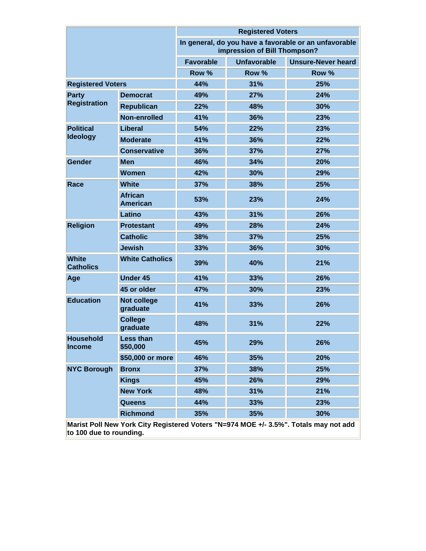|                                                                                     |                                   | <b>Registered Voters</b>                                                              |                    |                           |  |  |
|-------------------------------------------------------------------------------------|-----------------------------------|---------------------------------------------------------------------------------------|--------------------|---------------------------|--|--|
|                                                                                     |                                   | In general, do you have a favorable or an unfavorable<br>impression of Bill Thompson? |                    |                           |  |  |
|                                                                                     |                                   | <b>Favorable</b>                                                                      | <b>Unfavorable</b> | <b>Unsure-Never heard</b> |  |  |
|                                                                                     |                                   | Row %                                                                                 | Row %              | Row %                     |  |  |
| <b>Registered Voters</b>                                                            |                                   | 44%                                                                                   | 31%                | 25%                       |  |  |
| Party                                                                               | <b>Democrat</b>                   | 49%                                                                                   | 27%                | 24%                       |  |  |
| <b>Registration</b>                                                                 | <b>Republican</b>                 | 22%                                                                                   | 48%                | 30%                       |  |  |
|                                                                                     | Non-enrolled                      | 41%                                                                                   | 36%                | 23%                       |  |  |
| <b>Political</b>                                                                    | <b>Liberal</b>                    | 54%                                                                                   | 22%                | 23%                       |  |  |
| <b>Ideology</b>                                                                     | <b>Moderate</b>                   | 41%                                                                                   | 36%                | 22%                       |  |  |
|                                                                                     | <b>Conservative</b>               | 36%                                                                                   | 37%                | 27%                       |  |  |
| Gender                                                                              | <b>Men</b>                        | 46%                                                                                   | 34%                | 20%                       |  |  |
|                                                                                     | <b>Women</b>                      | 42%                                                                                   | 30%                | 29%                       |  |  |
| Race                                                                                | <b>White</b>                      | 37%                                                                                   | 38%                | 25%                       |  |  |
|                                                                                     | <b>African</b><br><b>American</b> | 53%                                                                                   | 23%                | 24%                       |  |  |
|                                                                                     | Latino                            | 43%                                                                                   | 31%                | 26%                       |  |  |
| <b>Religion</b>                                                                     | <b>Protestant</b>                 | 49%                                                                                   | 28%                | 24%                       |  |  |
|                                                                                     | <b>Catholic</b>                   | 38%                                                                                   | 37%                | 25%                       |  |  |
|                                                                                     | <b>Jewish</b>                     | 33%                                                                                   | 36%                | 30%                       |  |  |
| <b>White</b><br><b>Catholics</b>                                                    | <b>White Catholics</b>            | 39%                                                                                   | 40%                | 21%                       |  |  |
| Age                                                                                 | <b>Under 45</b>                   | 41%                                                                                   | 33%                | 26%                       |  |  |
|                                                                                     | 45 or older                       | 47%                                                                                   | 30%                | 23%                       |  |  |
| <b>Education</b>                                                                    | <b>Not college</b><br>graduate    | 41%                                                                                   | 33%                | 26%                       |  |  |
|                                                                                     | <b>College</b><br>graduate        | 48%                                                                                   | 31%                | 22%                       |  |  |
| <b>Household</b><br><b>Income</b>                                                   | <b>Less than</b><br>\$50,000      | 45%                                                                                   | 29%                | 26%                       |  |  |
|                                                                                     | \$50,000 or more                  | 46%                                                                                   | 35%                | 20%                       |  |  |
| <b>NYC Borough</b>                                                                  | <b>Bronx</b>                      | 37%                                                                                   | 38%                | 25%                       |  |  |
|                                                                                     | <b>Kings</b>                      | 45%                                                                                   | 26%                | 29%                       |  |  |
|                                                                                     | <b>New York</b>                   | 48%                                                                                   | 31%                | 21%                       |  |  |
|                                                                                     | <b>Queens</b>                     | 44%                                                                                   | 33%                | 23%                       |  |  |
|                                                                                     | <b>Richmond</b>                   | 35%                                                                                   | 35%                | 30%                       |  |  |
| Mariet Poll New York City Registered Voters "N-974 MOF +/- 3.5%" Totals may not add |                                   |                                                                                       |                    |                           |  |  |

**Marist Poll New York City Registered Voters "N=974 MOE +/- 3.5%". Totals may not add to 100 due to rounding.**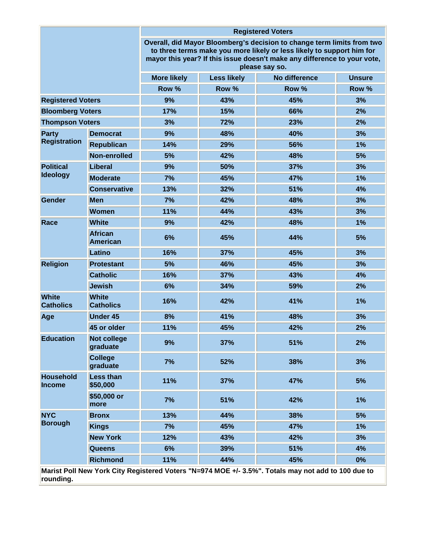|                                                                                                                 |                                   | <b>Registered Voters</b>                                                                                                                                                                                                                      |                    |               |               |  |
|-----------------------------------------------------------------------------------------------------------------|-----------------------------------|-----------------------------------------------------------------------------------------------------------------------------------------------------------------------------------------------------------------------------------------------|--------------------|---------------|---------------|--|
|                                                                                                                 |                                   | Overall, did Mayor Bloomberg's decision to change term limits from two<br>to three terms make you more likely or less likely to support him for<br>mayor this year? If this issue doesn't make any difference to your vote,<br>please say so. |                    |               |               |  |
|                                                                                                                 |                                   | <b>More likely</b>                                                                                                                                                                                                                            | <b>Less likely</b> | No difference | <b>Unsure</b> |  |
|                                                                                                                 |                                   | Row %                                                                                                                                                                                                                                         | Row %              | Row %         | Row %         |  |
| <b>Registered Voters</b>                                                                                        |                                   | 9%                                                                                                                                                                                                                                            | 43%                | 45%           | 3%            |  |
| <b>Bloomberg Voters</b>                                                                                         |                                   | 17%                                                                                                                                                                                                                                           | 15%                | 66%           | 2%            |  |
| <b>Thompson Voters</b>                                                                                          |                                   | 3%                                                                                                                                                                                                                                            | 72%                | 23%           | 2%            |  |
| Party                                                                                                           | <b>Democrat</b>                   | 9%                                                                                                                                                                                                                                            | 48%                | 40%           | 3%            |  |
| <b>Registration</b>                                                                                             | <b>Republican</b>                 | 14%                                                                                                                                                                                                                                           | 29%                | 56%           | 1%            |  |
|                                                                                                                 | Non-enrolled                      | 5%                                                                                                                                                                                                                                            | 42%                | 48%           | 5%            |  |
| <b>Political</b>                                                                                                | <b>Liberal</b>                    | 9%                                                                                                                                                                                                                                            | 50%                | 37%           | 3%            |  |
| <b>Ideology</b>                                                                                                 | <b>Moderate</b>                   | 7%                                                                                                                                                                                                                                            | 45%                | 47%           | 1%            |  |
|                                                                                                                 | <b>Conservative</b>               | 13%                                                                                                                                                                                                                                           | 32%                | 51%           | 4%            |  |
| Gender                                                                                                          | <b>Men</b>                        | 7%                                                                                                                                                                                                                                            | 42%                | 48%           | 3%            |  |
|                                                                                                                 | <b>Women</b>                      | 11%                                                                                                                                                                                                                                           | 44%                | 43%           | 3%            |  |
| Race                                                                                                            | <b>White</b>                      | 9%                                                                                                                                                                                                                                            | 42%                | 48%           | 1%            |  |
|                                                                                                                 | <b>African</b><br><b>American</b> | 6%                                                                                                                                                                                                                                            | 45%                | 44%           | 5%            |  |
|                                                                                                                 | Latino                            | 16%                                                                                                                                                                                                                                           | 37%                | 45%           | 3%            |  |
| <b>Religion</b>                                                                                                 | <b>Protestant</b>                 | 5%                                                                                                                                                                                                                                            | 46%                | 45%           | 3%            |  |
|                                                                                                                 | <b>Catholic</b>                   | 16%                                                                                                                                                                                                                                           | 37%                | 43%           | 4%            |  |
|                                                                                                                 | <b>Jewish</b>                     | 6%                                                                                                                                                                                                                                            | 34%                | 59%           | 2%            |  |
| <b>White</b><br><b>Catholics</b>                                                                                | <b>White</b><br><b>Catholics</b>  | 16%                                                                                                                                                                                                                                           | 42%                | 41%           | 1%            |  |
| Age                                                                                                             | <b>Under 45</b>                   | 8%                                                                                                                                                                                                                                            | 41%                | 48%           | 3%            |  |
|                                                                                                                 | 45 or older                       | 11%                                                                                                                                                                                                                                           | 45%                | 42%           | 2%            |  |
| <b>Education</b>                                                                                                | <b>Not college</b><br>graduate    | 9%                                                                                                                                                                                                                                            | 37%                | 51%           | 2%            |  |
|                                                                                                                 | <b>College</b><br>graduate        | 7%                                                                                                                                                                                                                                            | 52%                | 38%           | 3%            |  |
| <b>Household</b><br>Income                                                                                      | <b>Less than</b><br>\$50,000      | 11%                                                                                                                                                                                                                                           | 37%                | 47%           | 5%            |  |
|                                                                                                                 | \$50,000 or<br>more               | 7%                                                                                                                                                                                                                                            | 51%                | 42%           | 1%            |  |
| <b>NYC</b>                                                                                                      | <b>Bronx</b>                      | 13%                                                                                                                                                                                                                                           | 44%                | 38%           | 5%            |  |
| <b>Borough</b>                                                                                                  | <b>Kings</b>                      | 7%                                                                                                                                                                                                                                            | 45%                | 47%           | 1%            |  |
|                                                                                                                 | <b>New York</b>                   | 12%                                                                                                                                                                                                                                           | 43%                | 42%           | 3%            |  |
|                                                                                                                 | <b>Queens</b>                     | 6%                                                                                                                                                                                                                                            | 39%                | 51%           | 4%            |  |
|                                                                                                                 | <b>Richmond</b>                   | 11%                                                                                                                                                                                                                                           | 44%                | 45%           | 0%            |  |
| Marist Poll New York City Registered Voters "N=974 MOE +/- 3.5%". Totals may not add to 100 due to<br>rounding. |                                   |                                                                                                                                                                                                                                               |                    |               |               |  |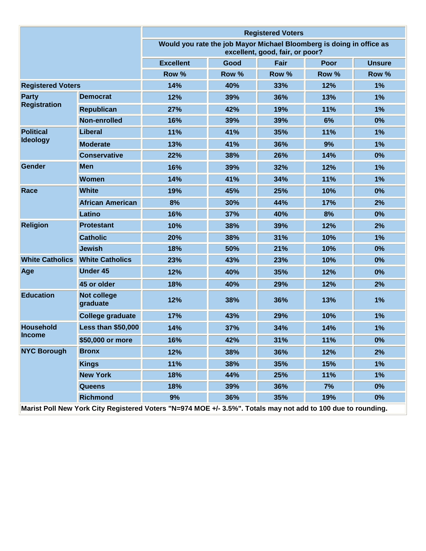|                                                                                                              |                                | <b>Registered Voters</b>                                                                                |       |       |             |               |
|--------------------------------------------------------------------------------------------------------------|--------------------------------|---------------------------------------------------------------------------------------------------------|-------|-------|-------------|---------------|
|                                                                                                              |                                | Would you rate the job Mayor Michael Bloomberg is doing in office as<br>excellent, good, fair, or poor? |       |       |             |               |
|                                                                                                              |                                | <b>Excellent</b>                                                                                        | Good  | Fair  | <b>Poor</b> | <b>Unsure</b> |
|                                                                                                              |                                | Row %                                                                                                   | Row % | Row % | Row %       | Row %         |
| <b>Registered Voters</b>                                                                                     |                                | 14%                                                                                                     | 40%   | 33%   | 12%         | 1%            |
| <b>Party</b><br><b>Registration</b>                                                                          | <b>Democrat</b>                | 12%                                                                                                     | 39%   | 36%   | 13%         | 1%            |
|                                                                                                              | <b>Republican</b>              | 27%                                                                                                     | 42%   | 19%   | 11%         | 1%            |
|                                                                                                              | Non-enrolled                   | 16%                                                                                                     | 39%   | 39%   | 6%          | 0%            |
| <b>Political</b>                                                                                             | Liberal                        | 11%                                                                                                     | 41%   | 35%   | 11%         | 1%            |
| <b>Ideology</b>                                                                                              | <b>Moderate</b>                | 13%                                                                                                     | 41%   | 36%   | 9%          | 1%            |
|                                                                                                              | <b>Conservative</b>            | 22%                                                                                                     | 38%   | 26%   | 14%         | 0%            |
| Gender                                                                                                       | <b>Men</b>                     | 16%                                                                                                     | 39%   | 32%   | 12%         | 1%            |
|                                                                                                              | <b>Women</b>                   | 14%                                                                                                     | 41%   | 34%   | 11%         | 1%            |
| Race                                                                                                         | <b>White</b>                   | 19%                                                                                                     | 45%   | 25%   | 10%         | 0%            |
|                                                                                                              | <b>African American</b>        | 8%                                                                                                      | 30%   | 44%   | 17%         | 2%            |
|                                                                                                              | Latino                         | 16%                                                                                                     | 37%   | 40%   | 8%          | 0%            |
| <b>Religion</b>                                                                                              | <b>Protestant</b>              | 10%                                                                                                     | 38%   | 39%   | 12%         | 2%            |
|                                                                                                              | <b>Catholic</b>                | 20%                                                                                                     | 38%   | 31%   | 10%         | 1%            |
|                                                                                                              | <b>Jewish</b>                  | 18%                                                                                                     | 50%   | 21%   | 10%         | 0%            |
| <b>White Catholics</b>                                                                                       | <b>White Catholics</b>         | 23%                                                                                                     | 43%   | 23%   | 10%         | 0%            |
| Age                                                                                                          | <b>Under 45</b>                | 12%                                                                                                     | 40%   | 35%   | 12%         | 0%            |
|                                                                                                              | 45 or older                    | 18%                                                                                                     | 40%   | 29%   | 12%         | 2%            |
| <b>Education</b>                                                                                             | <b>Not college</b><br>graduate | 12%                                                                                                     | 38%   | 36%   | 13%         | 1%            |
|                                                                                                              | <b>College graduate</b>        | 17%                                                                                                     | 43%   | 29%   | 10%         | 1%            |
| <b>Household</b>                                                                                             | <b>Less than \$50,000</b>      | 14%                                                                                                     | 37%   | 34%   | 14%         | 1%            |
| <b>Income</b>                                                                                                | \$50,000 or more               | 16%                                                                                                     | 42%   | 31%   | 11%         | 0%            |
| <b>NYC Borough</b>                                                                                           | <b>Bronx</b>                   | 12%                                                                                                     | 38%   | 36%   | 12%         | 2%            |
|                                                                                                              | <b>Kings</b>                   | 11%                                                                                                     | 38%   | 35%   | 15%         | 1%            |
|                                                                                                              | <b>New York</b>                | 18%                                                                                                     | 44%   | 25%   | 11%         | 1%            |
|                                                                                                              | <b>Queens</b>                  | 18%                                                                                                     | 39%   | 36%   | 7%          | 0%            |
|                                                                                                              | <b>Richmond</b>                | 9%                                                                                                      | 36%   | 35%   | 19%         | 0%            |
| Marist Poll New York City Registered Voters "N=974 MOE +/- 3.5%". Totals may not add to 100 due to rounding. |                                |                                                                                                         |       |       |             |               |

**Marist Poll New York City Registered Voters "N=974 MOE +/- 3.5%". Totals may not add to 100 due to rounding.**